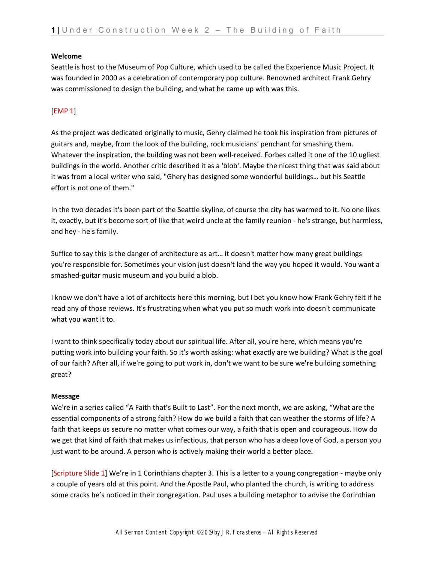### **Welcome**

Seattle is host to the Museum of Pop Culture, which used to be called the Experience Music Project. It was founded in 2000 as a celebration of contemporary pop culture. Renowned architect Frank Gehry was commissioned to design the building, and what he came up with was this.

## [EMP 1]

As the project was dedicated originally to music, Gehry claimed he took his inspiration from pictures of guitars and, maybe, from the look of the building, rock musicians' penchant for smashing them. Whatever the inspiration, the building was not been well-received. Forbes called it one of the 10 ugliest buildings in the world. Another critic described it as a 'blob'. Maybe the nicest thing that was said about it was from a local writer who said, "Ghery has designed some wonderful buildings… but his Seattle effort is not one of them."

In the two decades it's been part of the Seattle skyline, of course the city has warmed to it. No one likes it, exactly, but it's become sort of like that weird uncle at the family reunion - he's strange, but harmless, and hey - he's family.

Suffice to say this is the danger of architecture as art… it doesn't matter how many great buildings you're responsible for. Sometimes your vision just doesn't land the way you hoped it would. You want a smashed-guitar music museum and you build a blob.

I know we don't have a lot of architects here this morning, but I bet you know how Frank Gehry felt if he read any of those reviews. It's frustrating when what you put so much work into doesn't communicate what you want it to.

I want to think specifically today about our spiritual life. After all, you're here, which means you're putting work into building your faith. So it's worth asking: what exactly are we building? What is the goal of our faith? After all, if we're going to put work in, don't we want to be sure we're building something great?

## **Message**

We're in a series called "A Faith that's Built to Last". For the next month, we are asking, "What are the essential components of a strong faith? How do we build a faith that can weather the storms of life? A faith that keeps us secure no matter what comes our way, a faith that is open and courageous. How do we get that kind of faith that makes us infectious, that person who has a deep love of God, a person you just want to be around. A person who is actively making their world a better place.

[Scripture Slide 1] We're in 1 Corinthians chapter 3. This is a letter to a young congregation - maybe only a couple of years old at this point. And the Apostle Paul, who planted the church, is writing to address some cracks he's noticed in their congregation. Paul uses a building metaphor to advise the Corinthian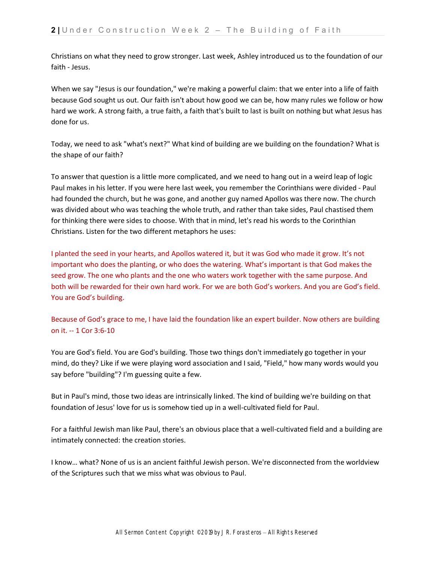Christians on what they need to grow stronger. Last week, Ashley introduced us to the foundation of our faith - Jesus.

When we say "Jesus is our foundation," we're making a powerful claim: that we enter into a life of faith because God sought us out. Our faith isn't about how good we can be, how many rules we follow or how hard we work. A strong faith, a true faith, a faith that's built to last is built on nothing but what Jesus has done for us.

Today, we need to ask "what's next?" What kind of building are we building on the foundation? What is the shape of our faith?

To answer that question is a little more complicated, and we need to hang out in a weird leap of logic Paul makes in his letter. If you were here last week, you remember the Corinthians were divided - Paul had founded the church, but he was gone, and another guy named Apollos was there now. The church was divided about who was teaching the whole truth, and rather than take sides, Paul chastised them for thinking there were sides to choose. With that in mind, let's read his words to the Corinthian Christians. Listen for the two different metaphors he uses:

I planted the seed in your hearts, and Apollos watered it, but it was God who made it grow. It's not important who does the planting, or who does the watering. What's important is that God makes the seed grow. The one who plants and the one who waters work together with the same purpose. And both will be rewarded for their own hard work. For we are both God's workers. And you are God's field. You are God's building.

Because of God's grace to me, I have laid the foundation like an expert builder. Now others are building on it. -- 1 Cor 3:6-10

You are God's field. You are God's building. Those two things don't immediately go together in your mind, do they? Like if we were playing word association and I said, "Field," how many words would you say before "building"? I'm guessing quite a few.

But in Paul's mind, those two ideas are intrinsically linked. The kind of building we're building on that foundation of Jesus' love for us is somehow tied up in a well-cultivated field for Paul.

For a faithful Jewish man like Paul, there's an obvious place that a well-cultivated field and a building are intimately connected: the creation stories.

I know… what? None of us is an ancient faithful Jewish person. We're disconnected from the worldview of the Scriptures such that we miss what was obvious to Paul.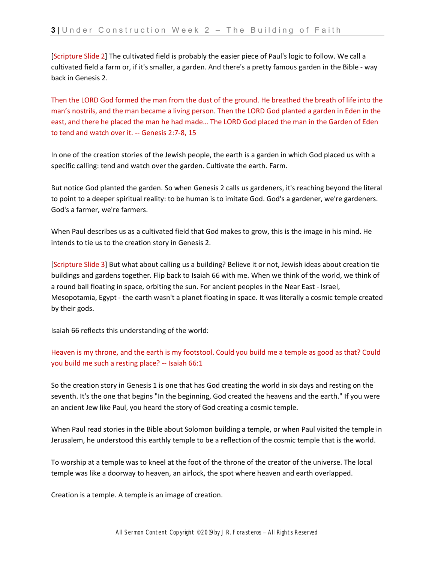[Scripture Slide 2] The cultivated field is probably the easier piece of Paul's logic to follow. We call a cultivated field a farm or, if it's smaller, a garden. And there's a pretty famous garden in the Bible - way back in Genesis 2.

Then the LORD God formed the man from the dust of the ground. He breathed the breath of life into the man's nostrils, and the man became a living person. Then the LORD God planted a garden in Eden in the east, and there he placed the man he had made… The LORD God placed the man in the Garden of Eden to tend and watch over it. -- Genesis 2:7-8, 15

In one of the creation stories of the Jewish people, the earth is a garden in which God placed us with a specific calling: tend and watch over the garden. Cultivate the earth. Farm.

But notice God planted the garden. So when Genesis 2 calls us gardeners, it's reaching beyond the literal to point to a deeper spiritual reality: to be human is to imitate God. God's a gardener, we're gardeners. God's a farmer, we're farmers.

When Paul describes us as a cultivated field that God makes to grow, this is the image in his mind. He intends to tie us to the creation story in Genesis 2.

[Scripture Slide 3] But what about calling us a building? Believe it or not, Jewish ideas about creation tie buildings and gardens together. Flip back to Isaiah 66 with me. When we think of the world, we think of a round ball floating in space, orbiting the sun. For ancient peoples in the Near East - Israel, Mesopotamia, Egypt - the earth wasn't a planet floating in space. It was literally a cosmic temple created by their gods.

Isaiah 66 reflects this understanding of the world:

# Heaven is my throne, and the earth is my footstool. Could you build me a temple as good as that? Could you build me such a resting place? -- Isaiah 66:1

So the creation story in Genesis 1 is one that has God creating the world in six days and resting on the seventh. It's the one that begins "In the beginning, God created the heavens and the earth." If you were an ancient Jew like Paul, you heard the story of God creating a cosmic temple.

When Paul read stories in the Bible about Solomon building a temple, or when Paul visited the temple in Jerusalem, he understood this earthly temple to be a reflection of the cosmic temple that is the world.

To worship at a temple was to kneel at the foot of the throne of the creator of the universe. The local temple was like a doorway to heaven, an airlock, the spot where heaven and earth overlapped.

Creation is a temple. A temple is an image of creation.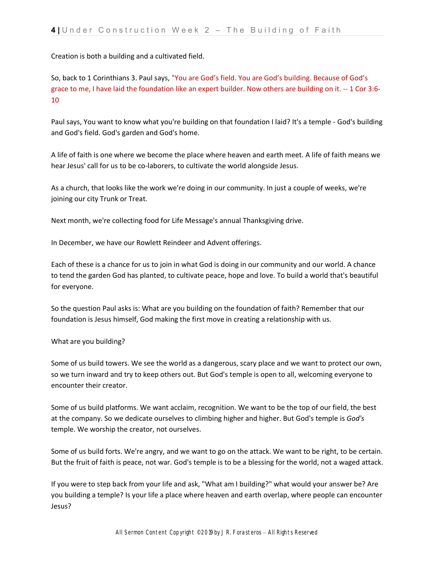Creation is both a building and a cultivated field.

So, back to 1 Corinthians 3. Paul says, "You are God's field. You are God's building. Because of God's grace to me, I have laid the foundation like an expert builder. Now others are building on it. -- 1 Cor 3:6- 10

Paul says, You want to know what you're building on that foundation I laid? It's a temple - God's building and God's field. God's garden and God's home.

A life of faith is one where we become the place where heaven and earth meet. A life of faith means we hear Jesus' call for us to be co-laborers, to cultivate the world alongside Jesus.

As a church, that looks like the work we're doing in our community. In just a couple of weeks, we're joining our city Trunk or Treat.

Next month, we're collecting food for Life Message's annual Thanksgiving drive.

In December, we have our Rowlett Reindeer and Advent offerings.

Each of these is a chance for us to join in what God is doing in our community and our world. A chance to tend the garden God has planted, to cultivate peace, hope and love. To build a world that's beautiful for everyone.

So the question Paul asks is: What are you building on the foundation of faith? Remember that our foundation is Jesus himself, God making the first move in creating a relationship with us.

#### What are you building?

Some of us build towers. We see the world as a dangerous, scary place and we want to protect our own, so we turn inward and try to keep others out. But God's temple is open to all, welcoming everyone to encounter their creator.

Some of us build platforms. We want acclaim, recognition. We want to be the top of our field, the best at the company. So we dedicate ourselves to climbing higher and higher. But God's temple is *God's* temple. We worship the creator, not ourselves.

Some of us build forts. We're angry, and we want to go on the attack. We want to be right, to be certain. But the fruit of faith is peace, not war. God's temple is to be a blessing for the world, not a waged attack.

If you were to step back from your life and ask, "What am I building?" what would your answer be? Are you building a temple? Is your life a place where heaven and earth overlap, where people can encounter Jesus?